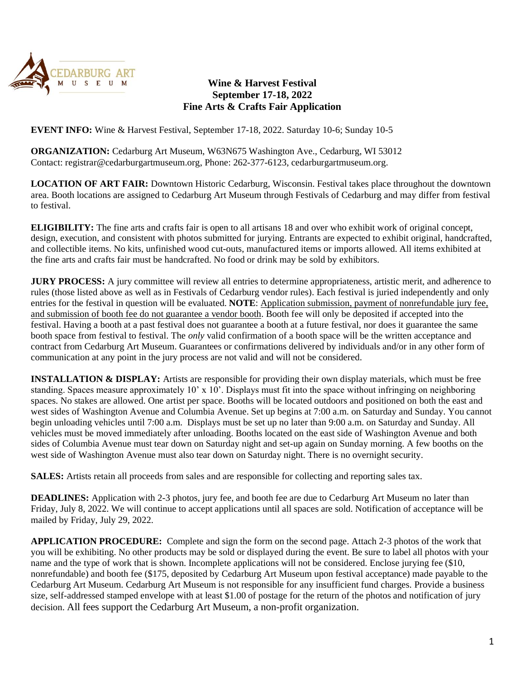

## **Wine & Harvest Festival September 17-18, 2022 Fine Arts & Crafts Fair Application**

**EVENT INFO:** Wine & Harvest Festival, September 17-18, 2022. Saturday 10-6; Sunday 10-5

**ORGANIZATION:** Cedarburg Art Museum, W63N675 Washington Ave., Cedarburg, WI 53012 Contact: registrar@cedarburgartmuseum.org, Phone: 262-377-6123, cedarburgartmuseum.org.

**LOCATION OF ART FAIR:** Downtown Historic Cedarburg, Wisconsin. Festival takes place throughout the downtown area. Booth locations are assigned to Cedarburg Art Museum through Festivals of Cedarburg and may differ from festival to festival.

**ELIGIBILITY:** The fine arts and crafts fair is open to all artisans 18 and over who exhibit work of original concept, design, execution, and consistent with photos submitted for jurying. Entrants are expected to exhibit original, handcrafted, and collectible items. No kits, unfinished wood cut-outs, manufactured items or imports allowed. All items exhibited at the fine arts and crafts fair must be handcrafted. No food or drink may be sold by exhibitors.

**JURY PROCESS:** A jury committee will review all entries to determine appropriateness, artistic merit, and adherence to rules (those listed above as well as in Festivals of Cedarburg vendor rules). Each festival is juried independently and only entries for the festival in question will be evaluated. **NOTE**: Application submission, payment of nonrefundable jury fee, and submission of booth fee do not guarantee a vendor booth. Booth fee will only be deposited if accepted into the festival. Having a booth at a past festival does not guarantee a booth at a future festival, nor does it guarantee the same booth space from festival to festival. The *only* valid confirmation of a booth space will be the written acceptance and contract from Cedarburg Art Museum. Guarantees or confirmations delivered by individuals and/or in any other form of communication at any point in the jury process are not valid and will not be considered.

**INSTALLATION & DISPLAY:** Artists are responsible for providing their own display materials, which must be free standing. Spaces measure approximately 10' x 10'. Displays must fit into the space without infringing on neighboring spaces. No stakes are allowed. One artist per space. Booths will be located outdoors and positioned on both the east and west sides of Washington Avenue and Columbia Avenue. Set up begins at 7:00 a.m. on Saturday and Sunday. You cannot begin unloading vehicles until 7:00 a.m. Displays must be set up no later than 9:00 a.m. on Saturday and Sunday. All vehicles must be moved immediately after unloading. Booths located on the east side of Washington Avenue and both sides of Columbia Avenue must tear down on Saturday night and set-up again on Sunday morning. A few booths on the west side of Washington Avenue must also tear down on Saturday night. There is no overnight security.

**SALES:** Artists retain all proceeds from sales and are responsible for collecting and reporting sales tax.

**DEADLINES:** Application with 2-3 photos, jury fee, and booth fee are due to Cedarburg Art Museum no later than Friday, July 8, 2022. We will continue to accept applications until all spaces are sold. Notification of acceptance will be mailed by Friday, July 29, 2022.

**APPLICATION PROCEDURE:** Complete and sign the form on the second page. Attach 2-3 photos of the work that you will be exhibiting. No other products may be sold or displayed during the event. Be sure to label all photos with your name and the type of work that is shown. Incomplete applications will not be considered. Enclose jurying fee (\$10, nonrefundable) and booth fee (\$175, deposited by Cedarburg Art Museum upon festival acceptance) made payable to the Cedarburg Art Museum. Cedarburg Art Museum is not responsible for any insufficient fund charges. Provide a business size, self-addressed stamped envelope with at least \$1.00 of postage for the return of the photos and notification of jury decision. All fees support the Cedarburg Art Museum, a non-profit organization.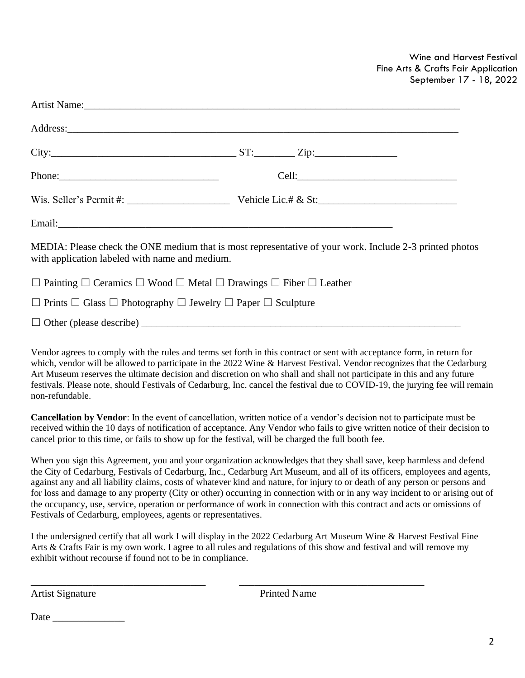Wine and Harvest Festival Fine Arts & Crafts Fair Application September 17 - 18, 2022

|                                                                                                      | Wis. Seller's Permit #: $\frac{1}{2}$ Vehicle Lic.# & St:                                               |  |
|------------------------------------------------------------------------------------------------------|---------------------------------------------------------------------------------------------------------|--|
|                                                                                                      |                                                                                                         |  |
| with application labeled with name and medium.                                                       | MEDIA: Please check the ONE medium that is most representative of your work. Include 2-3 printed photos |  |
| $\Box$ Painting $\Box$ Ceramics $\Box$ Wood $\Box$ Metal $\Box$ Drawings $\Box$ Fiber $\Box$ Leather |                                                                                                         |  |
| $\Box$ Prints $\Box$ Glass $\Box$ Photography $\Box$ Jewelry $\Box$ Paper $\Box$ Sculpture           |                                                                                                         |  |
|                                                                                                      |                                                                                                         |  |

Vendor agrees to comply with the rules and terms set forth in this contract or sent with acceptance form, in return for which, vendor will be allowed to participate in the 2022 Wine & Harvest Festival. Vendor recognizes that the Cedarburg Art Museum reserves the ultimate decision and discretion on who shall and shall not participate in this and any future festivals. Please note, should Festivals of Cedarburg, Inc. cancel the festival due to COVID-19, the jurying fee will remain non-refundable.

**Cancellation by Vendor**: In the event of cancellation, written notice of a vendor's decision not to participate must be received within the 10 days of notification of acceptance. Any Vendor who fails to give written notice of their decision to cancel prior to this time, or fails to show up for the festival, will be charged the full booth fee.

When you sign this Agreement, you and your organization acknowledges that they shall save, keep harmless and defend the City of Cedarburg, Festivals of Cedarburg, Inc., Cedarburg Art Museum, and all of its officers, employees and agents, against any and all liability claims, costs of whatever kind and nature, for injury to or death of any person or persons and for loss and damage to any property (City or other) occurring in connection with or in any way incident to or arising out of the occupancy, use, service, operation or performance of work in connection with this contract and acts or omissions of Festivals of Cedarburg, employees, agents or representatives.

I the undersigned certify that all work I will display in the 2022 Cedarburg Art Museum Wine & Harvest Festival Fine Arts & Crafts Fair is my own work. I agree to all rules and regulations of this show and festival and will remove my exhibit without recourse if found not to be in compliance.

\_\_\_\_\_\_\_\_\_\_\_\_\_\_\_\_\_\_\_\_\_\_\_\_\_\_\_\_\_\_\_\_\_\_ \_\_\_\_\_\_\_\_\_\_\_\_\_\_\_\_\_\_\_\_\_\_\_\_\_\_\_\_\_\_\_\_\_\_\_\_

Artist Signature Printed Name

Date \_\_\_\_\_\_\_\_\_\_\_\_\_\_